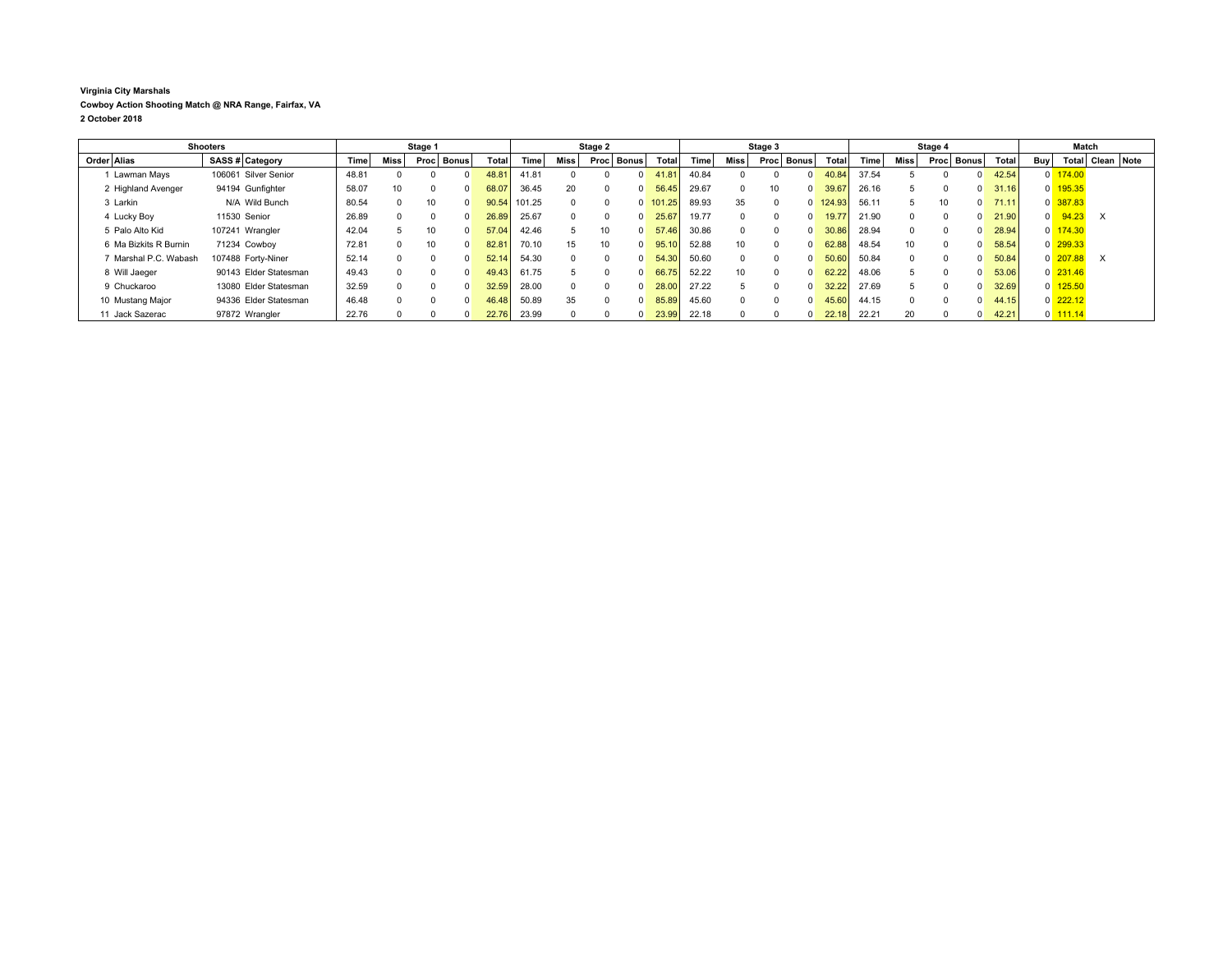## **Virginia City Marshals Cowboy Action Shooting Match @ NRA Range, Fairfax, VA 2 October 2018**

| <b>Shooters</b>       |  | Stage 1               |       |      |        | Stage 2 |       |        |          | Stage 3 |              |              |       | Stage 4         |          |              |        | Match |      |      |              |       |                |                      |                      |  |
|-----------------------|--|-----------------------|-------|------|--------|---------|-------|--------|----------|---------|--------------|--------------|-------|-----------------|----------|--------------|--------|-------|------|------|--------------|-------|----------------|----------------------|----------------------|--|
| Order Alias           |  | SASS # Category       | Time  | Miss | Proc l | Bonus   | Total | Гіmе   | Miss     | Proc    | <b>Bonus</b> | <b>Total</b> | Time  | Miss            | Proc     | <b>Bonus</b> | Total  | Time. | Miss | Proc | <b>Bonus</b> | Total | Buv l          |                      | Total   Clean   Note |  |
| Lawman Mays           |  | 106061 Silver Senior  | 48.81 |      |        |         | 48.81 | 41.81  |          |         |              | 41.81        | 40.84 |                 |          |              | 40.84  | 37.54 |      |      |              | 42.54 |                | $0$ 174.00           |                      |  |
| 2 Highland Avenger    |  | 94194 Gunfighter      | 58.07 | 10   |        |         | 68.07 | 36.45  | 20       |         |              | 56.45        | 29.67 | $\Omega$        | 10       |              | 39.67  | 26.16 |      |      |              | 31.16 |                | 0 195.35             |                      |  |
| 3 Larkin              |  | N/A Wild Bunch        | 80.54 |      | 10     |         | 90.54 | 101.25 | $\Omega$ |         |              | $0$ 101.25   | 89.93 | 35              | $\Omega$ | $\Omega$     | 124.93 | 56.11 |      | 10   |              | 71.11 |                | 0 387.83             |                      |  |
| 4 Lucky Boy           |  | 11530 Senior          | 26.89 |      |        |         | 26.89 | 25.67  | $\Omega$ |         |              | 25.67        | 19.77 | $\Omega$        |          |              | 19.77  | 21.90 |      |      |              | 21.90 | $\overline{0}$ | 94.23                | $\times$             |  |
| 5 Palo Alto Kid       |  | 107241 Wrangler       | 42.04 |      | 10     |         | 57.04 | 42.46  |          | 10      |              | 57.46        | 30.86 | $\Omega$        |          |              | 30.86  | 28.94 |      |      |              | 28.94 |                | $0 \frac{174.30}{ }$ |                      |  |
| 6 Ma Bizkits R Burnin |  | 71234 Cowbov          | 72.81 |      | 10     |         | 82.81 | 70.10  | 15       | 10      |              | 95.10        | 52.88 | 10              |          | <sup>n</sup> | 62.88  | 48.54 | 10   | n    |              | 58.54 |                | $0\overline{299.33}$ |                      |  |
| 7 Marshal P.C. Wabash |  | 107488 Forty-Niner    | 52.14 |      |        |         | 52.14 | 54.30  | $\Omega$ |         |              | 54.30        | 50.60 | $\Omega$        |          | n.           | 50.60  | 50.84 |      |      |              | 50.84 |                | $0$ 207.88           | $\times$             |  |
| 8 Will Jaeger         |  | 90143 Elder Statesman | 49.43 |      |        |         | 49.43 | 61.75  |          |         |              | 66.75        | 52.22 | 10 <sup>1</sup> |          | $\Omega$     | 62.22  | 48.06 |      |      |              | 53.06 |                | $0$ 231.46           |                      |  |
| 9 Chuckaroo           |  | 13080 Elder Statesman | 32.59 |      |        |         | 32.59 | 28.00  | $\Omega$ |         |              | 28.00        | 27.22 |                 |          |              | 32.22  | 27.69 |      |      |              | 32.69 |                | $0$ 125.50           |                      |  |
| 10 Mustang Major      |  | 94336 Elder Statesman | 46.48 |      |        |         | 46.48 | 50.89  | 35       |         |              | 85.89        | 45.60 | $\Omega$        |          |              | 45.60  | 44.15 |      |      |              | 44.15 |                | $0$ 222.12           |                      |  |
| 11 Jack Sazerac       |  | 97872 Wrangler        | 22.76 |      |        |         | 22.76 | 23.99  |          |         |              | 23.99        | 22.18 |                 |          |              | 22.18  | 22.21 | 20   |      |              | 42.21 |                | $0$ 111.14           |                      |  |